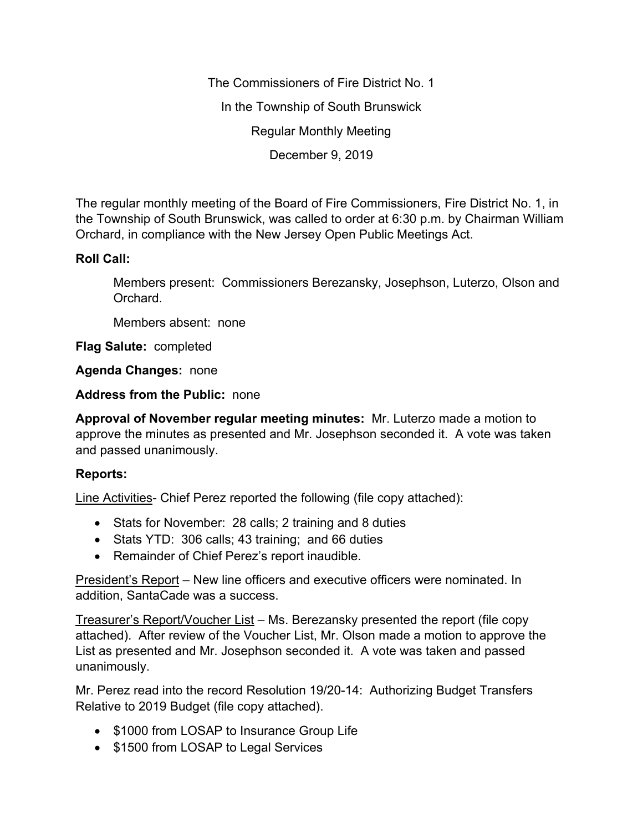The Commissioners of Fire District No. 1 In the Township of South Brunswick Regular Monthly Meeting December 9, 2019

The regular monthly meeting of the Board of Fire Commissioners, Fire District No. 1, in the Township of South Brunswick, was called to order at 6:30 p.m. by Chairman William Orchard, in compliance with the New Jersey Open Public Meetings Act.

## **Roll Call:**

Members present: Commissioners Berezansky, Josephson, Luterzo, Olson and Orchard.

Members absent: none

**Flag Salute:** completed

**Agenda Changes:** none

**Address from the Public:** none

**Approval of November regular meeting minutes:** Mr. Luterzo made a motion to approve the minutes as presented and Mr. Josephson seconded it. A vote was taken and passed unanimously.

## **Reports:**

Line Activities- Chief Perez reported the following (file copy attached):

- Stats for November: 28 calls; 2 training and 8 duties
- Stats YTD: 306 calls; 43 training; and 66 duties
- Remainder of Chief Perez's report inaudible.

President's Report – New line officers and executive officers were nominated. In addition, SantaCade was a success.

Treasurer's Report/Voucher List – Ms. Berezansky presented the report (file copy attached). After review of the Voucher List, Mr. Olson made a motion to approve the List as presented and Mr. Josephson seconded it. A vote was taken and passed unanimously.

Mr. Perez read into the record Resolution 19/20-14: Authorizing Budget Transfers Relative to 2019 Budget (file copy attached).

- \$1000 from LOSAP to Insurance Group Life
- \$1500 from LOSAP to Legal Services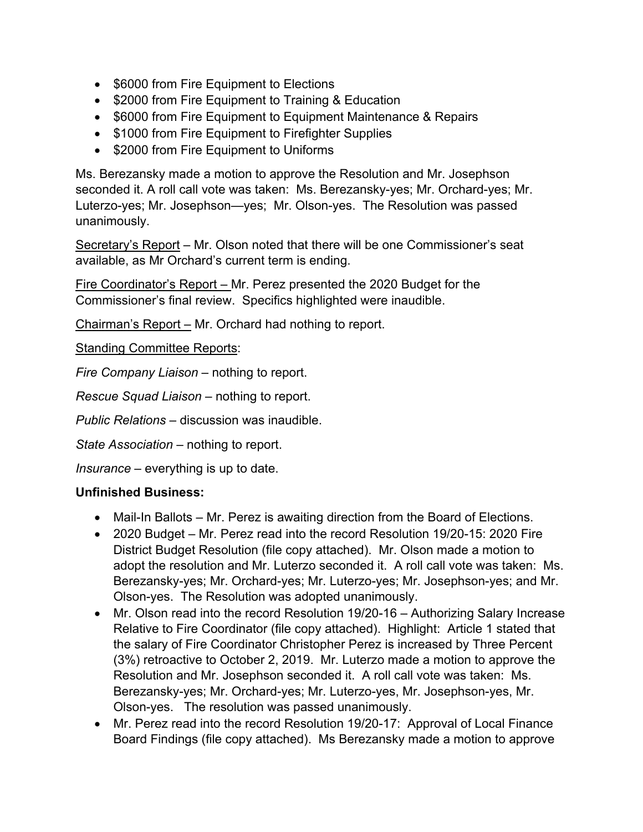- \$6000 from Fire Equipment to Elections
- \$2000 from Fire Equipment to Training & Education
- \$6000 from Fire Equipment to Equipment Maintenance & Repairs
- \$1000 from Fire Equipment to Firefighter Supplies
- \$2000 from Fire Equipment to Uniforms

Ms. Berezansky made a motion to approve the Resolution and Mr. Josephson seconded it. A roll call vote was taken: Ms. Berezansky-yes; Mr. Orchard-yes; Mr. Luterzo-yes; Mr. Josephson—yes; Mr. Olson-yes. The Resolution was passed unanimously.

Secretary's Report – Mr. Olson noted that there will be one Commissioner's seat available, as Mr Orchard's current term is ending.

Fire Coordinator's Report – Mr. Perez presented the 2020 Budget for the Commissioner's final review. Specifics highlighted were inaudible.

Chairman's Report – Mr. Orchard had nothing to report.

Standing Committee Reports:

*Fire Company Liaison –* nothing to report.

*Rescue Squad Liaison –* nothing to report.

*Public Relations –* discussion was inaudible.

*State Association –* nothing to report.

*Insurance –* everything is up to date.

## **Unfinished Business:**

- Mail-In Ballots Mr. Perez is awaiting direction from the Board of Elections.
- 2020 Budget Mr. Perez read into the record Resolution 19/20-15: 2020 Fire District Budget Resolution (file copy attached). Mr. Olson made a motion to adopt the resolution and Mr. Luterzo seconded it. A roll call vote was taken: Ms. Berezansky-yes; Mr. Orchard-yes; Mr. Luterzo-yes; Mr. Josephson-yes; and Mr. Olson-yes. The Resolution was adopted unanimously.
- Mr. Olson read into the record Resolution 19/20-16 Authorizing Salary Increase Relative to Fire Coordinator (file copy attached). Highlight: Article 1 stated that the salary of Fire Coordinator Christopher Perez is increased by Three Percent (3%) retroactive to October 2, 2019. Mr. Luterzo made a motion to approve the Resolution and Mr. Josephson seconded it. A roll call vote was taken: Ms. Berezansky-yes; Mr. Orchard-yes; Mr. Luterzo-yes, Mr. Josephson-yes, Mr. Olson-yes. The resolution was passed unanimously.
- Mr. Perez read into the record Resolution 19/20-17: Approval of Local Finance Board Findings (file copy attached). Ms Berezansky made a motion to approve